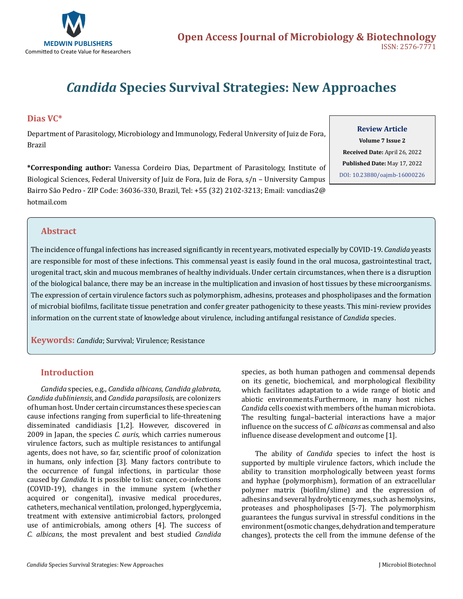

# *Candida* **Species Survival Strategies: New Approaches**

#### **Dias VC\***

Department of Parasitology, Microbiology and Immunology, Federal University of Juiz de Fora, Brazil

**\*Corresponding author:** Vanessa Cordeiro Dias, Department of Parasitology, Institute of Biological Sciences, Federal University of Juiz de Fora, Juiz de Fora, s/n – University Campus Bairro São Pedro - ZIP Code: 36036-330, Brazil, Tel: +55 (32) 2102-3213; Email: vancdias2@ hotmail.com

#### **Review Article**

**Volume 7 Issue 2 Received Date:** April 26, 2022 **Published Date:** May 17, 2022 [DOI: 10.23880/oajmb-16000226](https://doi.org/10.23880/oajmb-16000226)

### **Abstract**

The incidence of fungal infections has increased significantly in recent years, motivated especially by COVID-19. *Candida* yeasts are responsible for most of these infections. This commensal yeast is easily found in the oral mucosa, gastrointestinal tract, urogenital tract, skin and mucous membranes of healthy individuals. Under certain circumstances, when there is a disruption of the biological balance, there may be an increase in the multiplication and invasion of host tissues by these microorganisms. The expression of certain virulence factors such as polymorphism, adhesins, proteases and phospholipases and the formation of microbial biofilms, facilitate tissue penetration and confer greater pathogenicity to these yeasts. This mini-review provides information on the current state of knowledge about virulence, including antifungal resistance of *Candida* species.

**Keywords:** *Candida*; Survival; Virulence; Resistance

#### **Introduction**

*Candida* species, e.g., *Candida albicans, Candida glabrata, Candida dubliniensis*, and *Candida parapsilosis*, are colonizers of human host. Under certain circumstances these species can cause infections ranging from superficial to life-threatening disseminated candidiasis [1,2]. However, discovered in 2009 in Japan, the species *C. auris*, which carries numerous virulence factors, such as multiple resistances to antifungal agents, does not have, so far, scientific proof of colonization in humans, only infection [3]. Many factors contribute to the occurrence of fungal infections, in particular those caused by *Candida.* It is possible to list: cancer, co-infections (COVID-19), changes in the immune system (whether acquired or congenital), invasive medical procedures, catheters, mechanical ventilation, prolonged, hyperglycemia, treatment with extensive antimicrobial factors, prolonged use of antimicrobials, among others [4]. The success of *C. albicans*, the most prevalent and best studied *Candida*

species, as both human pathogen and commensal depends on its genetic, biochemical, and morphological flexibility which facilitates adaptation to a wide range of biotic and abiotic environments.Furthermore, in many host niches *Candida* cells coexist with members of the human microbiota. The resulting fungal–bacterial interactions have a major influence on the success of *C. albicans* as commensal and also influence disease development and outcome [1].

The ability of *Candida* species to infect the host is supported by multiple virulence factors, which include the ability to transition morphologically between yeast forms and hyphae (polymorphism), formation of an extracellular polymer matrix (biofilm/slime) and the expression of adhesins and several hydrolytic enzymes, such as hemolysins, proteases and phospholipases [5-7]. The polymorphism guarantees the fungus survival in stressful conditions in the environment (osmotic changes, dehydration and temperature changes), protects the cell from the immune defense of the